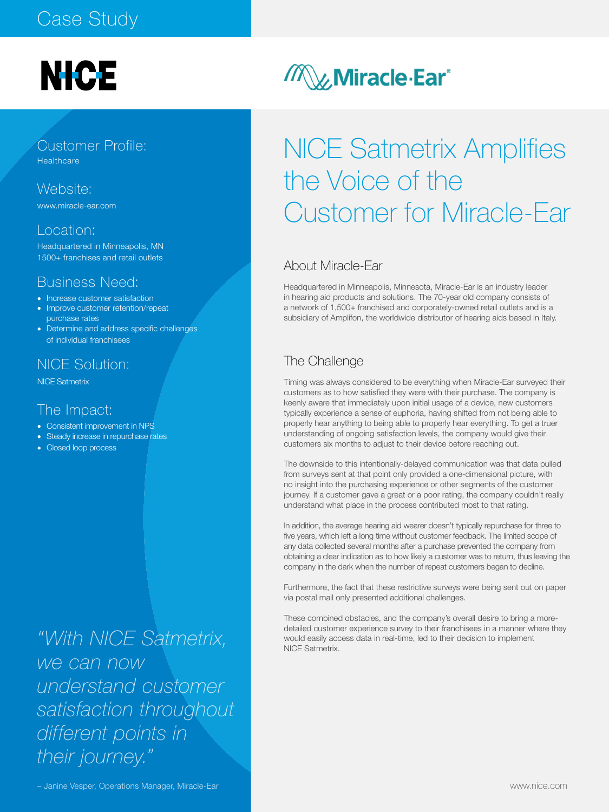### Case Study

# **NICE**

Customer Profile: **Healthcare** 

Website: www.miracle-ear.com

### Location:

Headquartered in Minneapolis, MN 1500+ franchises and retail outlets

### Business Need:

- Increase customer satisfaction
- Improve customer retention/repeat purchase rates
- Determine and address specific challenges of individual franchisees

### NICE Solution:

NICE Satmetrix

### The Impact:

- Consistent improvement in NPS
- Steady increase in repurchase rates
- Closed loop process

*"With NICE Satmetrix, we can now understand customer satisfaction throughout different points in their journey."* 

### **MUMiracle Ear**<sup>®</sup>

## NICE Satmetrix Amplifies the Voice of the Customer for Miracle-Ear

### About Miracle-Ear

Headquartered in Minneapolis, Minnesota, Miracle-Ear is an industry leader in hearing aid products and solutions. The 70-year old company consists of a network of 1,500+ franchised and corporately-owned retail outlets and is a subsidiary of Amplifon, the worldwide distributor of hearing aids based in Italy.

### The Challenge

Timing was always considered to be everything when Miracle-Ear surveyed their customers as to how satisfied they were with their purchase. The company is keenly aware that immediately upon initial usage of a device, new customers typically experience a sense of euphoria, having shifted from not being able to properly hear anything to being able to properly hear everything. To get a truer understanding of ongoing satisfaction levels, the company would give their customers six months to adjust to their device before reaching out.

The downside to this intentionally-delayed communication was that data pulled from surveys sent at that point only provided a one-dimensional picture, with no insight into the purchasing experience or other segments of the customer journey. If a customer gave a great or a poor rating, the company couldn't really understand what place in the process contributed most to that rating.

In addition, the average hearing aid wearer doesn't typically repurchase for three to five years, which left a long time without customer feedback. The limited scope of any data collected several months after a purchase prevented the company from obtaining a clear indication as to how likely a customer was to return, thus leaving the company in the dark when the number of repeat customers began to decline.

Furthermore, the fact that these restrictive surveys were being sent out on paper via postal mail only presented additional challenges.

These combined obstacles, and the company's overall desire to bring a moredetailed customer experience survey to their franchisees in a manner where they would easily access data in real-time, led to their decision to implement NICE Satmetrix.